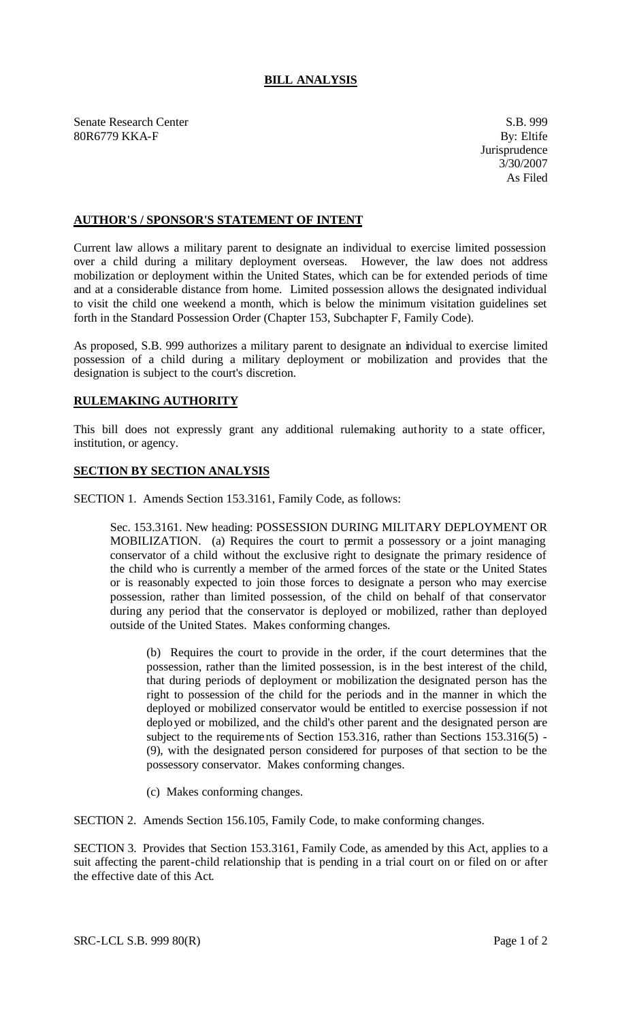## **BILL ANALYSIS**

Senate Research Center S.B. 999 80R6779 KKA-F By: Eltife

## **AUTHOR'S / SPONSOR'S STATEMENT OF INTENT**

Current law allows a military parent to designate an individual to exercise limited possession over a child during a military deployment overseas. However, the law does not address mobilization or deployment within the United States, which can be for extended periods of time and at a considerable distance from home. Limited possession allows the designated individual to visit the child one weekend a month, which is below the minimum visitation guidelines set forth in the Standard Possession Order (Chapter 153, Subchapter F, Family Code).

As proposed, S.B. 999 authorizes a military parent to designate an individual to exercise limited possession of a child during a military deployment or mobilization and provides that the designation is subject to the court's discretion.

## **RULEMAKING AUTHORITY**

This bill does not expressly grant any additional rulemaking authority to a state officer, institution, or agency.

## **SECTION BY SECTION ANALYSIS**

SECTION 1. Amends Section 153.3161, Family Code, as follows:

Sec. 153.3161. New heading: POSSESSION DURING MILITARY DEPLOYMENT OR MOBILIZATION. (a) Requires the court to permit a possessory or a joint managing conservator of a child without the exclusive right to designate the primary residence of the child who is currently a member of the armed forces of the state or the United States or is reasonably expected to join those forces to designate a person who may exercise possession, rather than limited possession, of the child on behalf of that conservator during any period that the conservator is deployed or mobilized, rather than deployed outside of the United States. Makes conforming changes.

(b) Requires the court to provide in the order, if the court determines that the possession, rather than the limited possession, is in the best interest of the child, that during periods of deployment or mobilization the designated person has the right to possession of the child for the periods and in the manner in which the deployed or mobilized conservator would be entitled to exercise possession if not deployed or mobilized, and the child's other parent and the designated person are subject to the requirements of Section 153.316, rather than Sections 153.316(5) - (9), with the designated person considered for purposes of that section to be the possessory conservator. Makes conforming changes.

(c) Makes conforming changes.

SECTION 2. Amends Section 156.105, Family Code, to make conforming changes.

SECTION 3. Provides that Section 153.3161, Family Code, as amended by this Act, applies to a suit affecting the parent-child relationship that is pending in a trial court on or filed on or after the effective date of this Act.